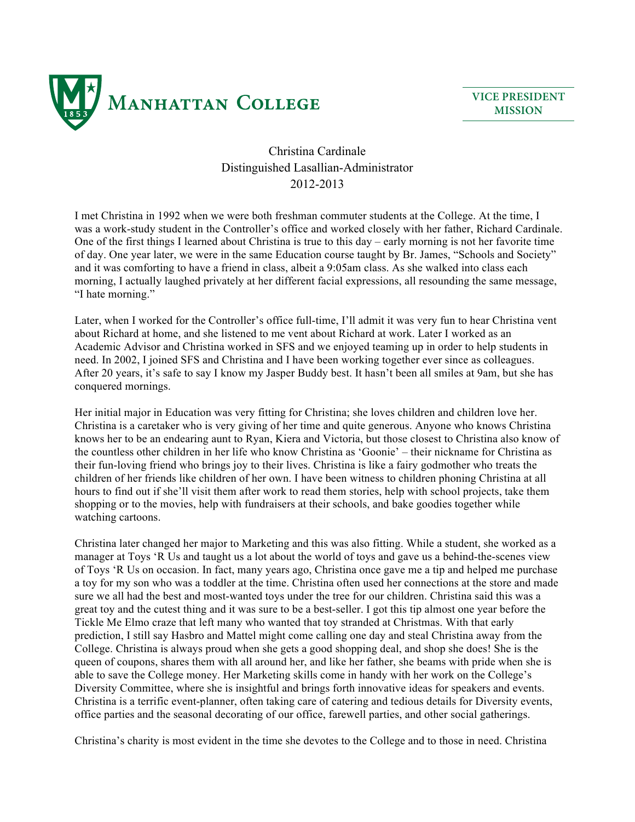

**VICE PRESIDENT MISSION**

## Christina Cardinale Distinguished Lasallian-Administrator 2012-2013

I met Christina in 1992 when we were both freshman commuter students at the College. At the time, I was a work-study student in the Controller's office and worked closely with her father, Richard Cardinale. One of the first things I learned about Christina is true to this day – early morning is not her favorite time of day. One year later, we were in the same Education course taught by Br. James, "Schools and Society" and it was comforting to have a friend in class, albeit a 9:05am class. As she walked into class each morning, I actually laughed privately at her different facial expressions, all resounding the same message, "I hate morning."

Later, when I worked for the Controller's office full-time, I'll admit it was very fun to hear Christina vent about Richard at home, and she listened to me vent about Richard at work. Later I worked as an Academic Advisor and Christina worked in SFS and we enjoyed teaming up in order to help students in need. In 2002, I joined SFS and Christina and I have been working together ever since as colleagues. After 20 years, it's safe to say I know my Jasper Buddy best. It hasn't been all smiles at 9am, but she has conquered mornings.

Her initial major in Education was very fitting for Christina; she loves children and children love her. Christina is a caretaker who is very giving of her time and quite generous. Anyone who knows Christina knows her to be an endearing aunt to Ryan, Kiera and Victoria, but those closest to Christina also know of the countless other children in her life who know Christina as 'Goonie' – their nickname for Christina as their fun-loving friend who brings joy to their lives. Christina is like a fairy godmother who treats the children of her friends like children of her own. I have been witness to children phoning Christina at all hours to find out if she'll visit them after work to read them stories, help with school projects, take them shopping or to the movies, help with fundraisers at their schools, and bake goodies together while watching cartoons.

Christina later changed her major to Marketing and this was also fitting. While a student, she worked as a manager at Toys 'R Us and taught us a lot about the world of toys and gave us a behind-the-scenes view of Toys 'R Us on occasion. In fact, many years ago, Christina once gave me a tip and helped me purchase a toy for my son who was a toddler at the time. Christina often used her connections at the store and made sure we all had the best and most-wanted toys under the tree for our children. Christina said this was a great toy and the cutest thing and it was sure to be a best-seller. I got this tip almost one year before the Tickle Me Elmo craze that left many who wanted that toy stranded at Christmas. With that early prediction, I still say Hasbro and Mattel might come calling one day and steal Christina away from the College. Christina is always proud when she gets a good shopping deal, and shop she does! She is the queen of coupons, shares them with all around her, and like her father, she beams with pride when she is able to save the College money. Her Marketing skills come in handy with her work on the College's Diversity Committee, where she is insightful and brings forth innovative ideas for speakers and events. Christina is a terrific event-planner, often taking care of catering and tedious details for Diversity events, office parties and the seasonal decorating of our office, farewell parties, and other social gatherings.

Christina's charity is most evident in the time she devotes to the College and to those in need. Christina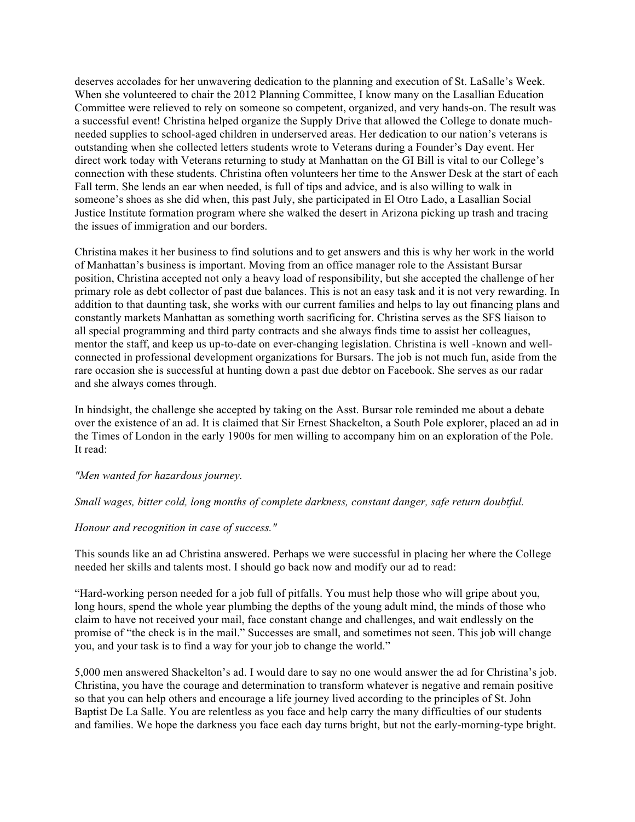deserves accolades for her unwavering dedication to the planning and execution of St. LaSalle's Week. When she volunteered to chair the 2012 Planning Committee, I know many on the Lasallian Education Committee were relieved to rely on someone so competent, organized, and very hands-on. The result was a successful event! Christina helped organize the Supply Drive that allowed the College to donate muchneeded supplies to school-aged children in underserved areas. Her dedication to our nation's veterans is outstanding when she collected letters students wrote to Veterans during a Founder's Day event. Her direct work today with Veterans returning to study at Manhattan on the GI Bill is vital to our College's connection with these students. Christina often volunteers her time to the Answer Desk at the start of each Fall term. She lends an ear when needed, is full of tips and advice, and is also willing to walk in someone's shoes as she did when, this past July, she participated in El Otro Lado, a Lasallian Social Justice Institute formation program where she walked the desert in Arizona picking up trash and tracing the issues of immigration and our borders.

Christina makes it her business to find solutions and to get answers and this is why her work in the world of Manhattan's business is important. Moving from an office manager role to the Assistant Bursar position, Christina accepted not only a heavy load of responsibility, but she accepted the challenge of her primary role as debt collector of past due balances. This is not an easy task and it is not very rewarding. In addition to that daunting task, she works with our current families and helps to lay out financing plans and constantly markets Manhattan as something worth sacrificing for. Christina serves as the SFS liaison to all special programming and third party contracts and she always finds time to assist her colleagues, mentor the staff, and keep us up-to-date on ever-changing legislation. Christina is well -known and wellconnected in professional development organizations for Bursars. The job is not much fun, aside from the rare occasion she is successful at hunting down a past due debtor on Facebook. She serves as our radar and she always comes through.

In hindsight, the challenge she accepted by taking on the Asst. Bursar role reminded me about a debate over the existence of an ad. It is claimed that Sir Ernest Shackelton, a South Pole explorer, placed an ad in the Times of London in the early 1900s for men willing to accompany him on an exploration of the Pole. It read:

*"Men wanted for hazardous journey.*

## *Small wages, bitter cold, long months of complete darkness, constant danger, safe return doubtful.*

## *Honour and recognition in case of success."*

This sounds like an ad Christina answered. Perhaps we were successful in placing her where the College needed her skills and talents most. I should go back now and modify our ad to read:

"Hard-working person needed for a job full of pitfalls. You must help those who will gripe about you, long hours, spend the whole year plumbing the depths of the young adult mind, the minds of those who claim to have not received your mail, face constant change and challenges, and wait endlessly on the promise of "the check is in the mail." Successes are small, and sometimes not seen. This job will change you, and your task is to find a way for your job to change the world."

5,000 men answered Shackelton's ad. I would dare to say no one would answer the ad for Christina's job. Christina, you have the courage and determination to transform whatever is negative and remain positive so that you can help others and encourage a life journey lived according to the principles of St. John Baptist De La Salle. You are relentless as you face and help carry the many difficulties of our students and families. We hope the darkness you face each day turns bright, but not the early-morning-type bright.